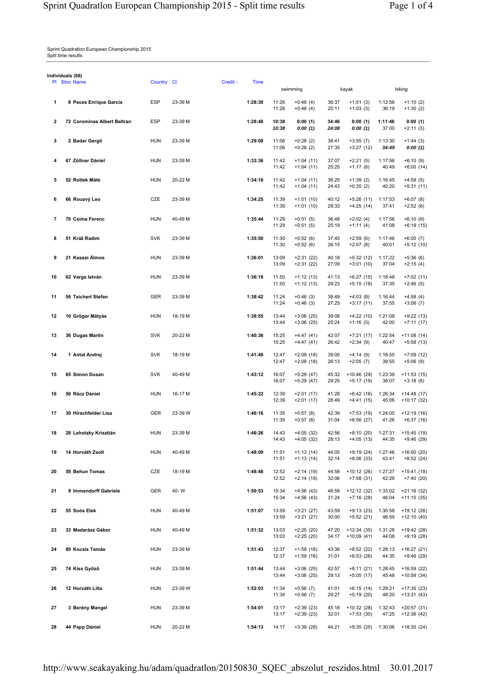Sprint Quadratlon European Championship 2015 Split time results

| ndividuals (68) | PI Stno Name                | Country Cl. |         | Credit - | Time    |                | swimming                   |                |                                   |                  | biking                       |
|-----------------|-----------------------------|-------------|---------|----------|---------|----------------|----------------------------|----------------|-----------------------------------|------------------|------------------------------|
| 1               | 8 Peces Enrique García      | ESP         | 23-39 M |          | 1:28:30 | 11:26          | $+0:48(4)$                 | 36:37          | kayak<br>$+1:51(3)$               | 1:12:56          | $+1:10(2)$                   |
|                 |                             |             |         |          |         | 11:26          | $+0:48(4)$                 | 25:11          | $+1:03(3)$                        | 36:19            | $+1:30(2)$                   |
| 2               | 72 Corominas Albert Beltran | <b>ESP</b>  | 23-39 M |          | 1:28:48 | 10:38<br>10:38 | 0:00(1)<br>0:00(1)         | 34:46<br>24:08 | 0:00(1)<br>0:00(1)                | 1:11:46<br>37:00 | 0:00(1)<br>$+2:11(3)$        |
| 3               | 2 Badar Gergő               | <b>HUN</b>  | 23-39 M |          | 1:29:08 | 11:06<br>11:06 | $+0:28(2)$<br>$+0:28(2)$   | 38:41<br>27:35 | $+3:55(7)$<br>+3:27 (12)          | 1:13:30<br>34:49 | $+1:44(3)$<br>0:00(1)        |
| 4               | 67 Zöllner Dániel           | <b>HUN</b>  | 23-39 M |          | 1:33:36 | 11:42<br>11:42 | $+1:04(11)$<br>$+1:04(11)$ | 37:07<br>25:25 | $+2:21(5)$<br>$+1:17(6)$          | 1:17:56<br>40:49 | $+6:10(9)$<br>$+6:00(14)$    |
| 5               | 52 Rottek Máté              | <b>HUN</b>  | 20-22 M |          | 1:34:16 | 11:42<br>11:42 | $+1:04(11)$<br>$+1:04(11)$ | 36:25<br>24:43 | $+1:39(2)$<br>$+0:35(2)$          | 1:16:45<br>40:20 | $+4:59(5)$<br>$+5:31(11)$    |
| 6               | 66 Rouavý Leo               | CZE         | 23-39 M |          | 1:34:25 | 11:39<br>11:39 | $+1:01(10)$<br>$+1:01(10)$ | 40:12<br>28:33 | $+5:26(11)$<br>$+4:25(14)$        | 1:17:53<br>37:41 | $+6:07(8)$<br>$+2:52(6)$     |
| 7               | 70 Csima Ferenc             | <b>HUN</b>  | 40-49 M |          | 1:35:44 | 11:29<br>11:29 | $+0:51(5)$<br>$+0:51(5)$   | 36:48<br>25:19 | $+2:02(4)$<br>$+1:11(4)$          | 1:17:56<br>41:08 | $+6:10(9)$<br>$+6:19(15)$    |
| 8               | 51 Kráž Radim               | <b>SVK</b>  | 23-39 M |          | 1:35:50 | 11:30<br>11:30 | $+0:52(6)$<br>$+0:52(6)$   | 37:45<br>26:15 | $+2:59(6)$<br>$+2:07(8)$          | 1:17:46<br>40:01 | $+6:00(7)$<br>$+5:12(10)$    |
| 9               | 21 Kassai Álmos             | <b>HUN</b>  | 23-39 M |          | 1:36:01 | 13:09<br>13:09 | $+2:31(22)$<br>$+2:31(22)$ | 40:18<br>27:09 | $+5:32(12)$<br>$+3:01(10)$        | 1:17:22<br>37:04 | $+5:36(6)$<br>$+2:15(4)$     |
| 10              | 62 Varga István             | <b>HUN</b>  | 23-39 M |          | 1:36:18 | 11:50<br>11:50 | $+1:12(13)$<br>$+1:12(13)$ | 41:13<br>29:23 | $+6:27(15)$<br>$+5:15(18)$        | 1:18:48<br>37:35 | $+7:02(11)$<br>$+2:46(5)$    |
| 11              | 56 Teichert Stefan          | <b>GER</b>  | 23-39 M |          | 1:38:42 | 11:24<br>11:24 | $+0:46(3)$<br>$+0:46(3)$   | 38:49<br>27:25 | $+4:03(8)$<br>$+3:17(11)$         | 1:16:44<br>37:55 | $+4:58(4)$<br>$+3:06(7)$     |
| 12              | 10 Grőger Mátyás            | <b>HUN</b>  | 18-19 M |          | 1:38:55 | 13:44<br>13:44 | $+3:06(25)$<br>$+3:06(25)$ | 39:08<br>25:24 | $+4:22(10)$<br>$+1:16(5)$         | 1:21:08<br>42:00 | $+9:22(13)$<br>$+7:11(17)$   |
| 13              | 36 Dugas Martin             | <b>SVK</b>  | 20-22 M |          | 1:40:36 | 15:25<br>15:25 | $+4:47(41)$<br>+4:47 (41)  | 42:07<br>26:42 | $+7:21(17)$<br>$+2:34(9)$         | 1:22:54<br>40:47 | $+11:08(14)$<br>$+5:58(13)$  |
| 14              | 1 Antal Andrej              | <b>SVK</b>  | 18-19 M |          | 1:41:40 | 12:47<br>12:47 | $+2:09(18)$<br>$+2:09(18)$ | 39:00<br>26:13 | $+4:14(9)$<br>$+2:05(7)$          | 1:18:55<br>39:55 | $+7:09(12)$<br>$+5:06(9)$    |
| 15              | 65 Simon Dusan              | <b>SVK</b>  | 40-49 M |          | 1:43:12 | 16:07<br>16:07 | $+5:29(47)$<br>$+5:29(47)$ | 45:32<br>29:25 | +10:46 (29)<br>$+5:17(19)$        | 1:23:39<br>38:07 | $+11:53(15)$<br>$+3:18(8)$   |
| 16              | 50 Rácz Dániel              | <b>HUN</b>  | 16-17 M |          | 1:45:22 | 12:39<br>12:39 | $+2:01(17)$<br>$+2:01(17)$ | 41:28<br>28:49 | $+6:42(16)$<br>+4:41 (15)         | 1:26:34<br>45:06 | $+14:48(17)$<br>+10:17 (32)  |
| 17              | 30 Hirschfelder Lisa        | <b>GER</b>  | 23-39 W |          | 1:46:16 | 11:35<br>11:35 | $+0:57(8)$<br>$+0:57(8)$   | 42:39<br>31:04 | +7:53 (19)<br>$+6:56(27)$         | 1:24:05<br>41:26 | +12:19 (16)<br>$+6:37(16)$   |
|                 | 28 Lehotzky Krisztián       | <b>HUN</b>  | 23-39 M |          | 1:46:26 | 14:43<br>14:43 | $+4:05(32)$<br>$+4:05(32)$ | 42:56<br>28:13 | +8:10 (20) 1:27:31<br>$+4:05(13)$ | 44:35            | $+15:45(19)$<br>$+9:46(29)$  |
| 19              | 14 Horváth Zsolt            | <b>HUN</b>  | 40-49 M |          | 1:48:09 | 11:51<br>11:51 | $+1:13(14)$<br>$+1:13(14)$ | 44:05<br>32:14 | $+9:19(24)$<br>$+8:06(33)$        | 1:27:46<br>43:41 | $+16:00(20)$<br>$+8:52(24)$  |
| 20              | 59 Behun Tomas              | CZE         | 18-19 M |          | 1:48:48 | 12:52<br>12:52 | $+2:14(19)$<br>$+2:14(19)$ | 44:58<br>32:06 | $+10:12(26)$<br>$+7:58(31)$       | 1:27:27<br>42:29 | +15:41 (18)<br>$+7:40(20)$   |
| 21              | 9 Immendorff Gabriele       | <b>GER</b>  | 40-W    |          | 1:50:53 | 15:34<br>15:34 | $+4:56(43)$<br>$+4:56(43)$ | 46:58<br>31:24 | $+12:12(32)$<br>$+7:16(28)$       | 1:33:02<br>46:04 | +21:16 (32)<br>$+11:15(35)$  |
| 22              | 55 Soós Elek                | <b>HUN</b>  | 40-49 M |          | 1:51:07 | 13:59<br>13:59 | $+3:21(27)$<br>$+3:21(27)$ | 43:59<br>30:00 | $+9:13(23)$<br>$+5:52(21)$        | 1:30:58<br>46:59 | +19:12 (26)<br>$+12:10(40)$  |
| 23              | 33 Madarász Gábor           | <b>HUN</b>  | 40-49 M |          | 1:51:32 | 13:03<br>13:03 | $+2:25(20)$<br>$+2:25(20)$ | 47:20<br>34:17 | $+12:34(35)$<br>$+10:09(41)$      | 1:31:28<br>44:08 | +19:42 (28)<br>$+9:19(28)$   |
| 24              | 80 Kocsis Tamás             | <b>HUN</b>  | 23-39 M |          | 1:51:43 | 12:37<br>12:37 | $+1:59(16)$<br>$+1:59(16)$ | 43:38<br>31:01 | $+8:52(22)$<br>$+6:53(26)$        | 1:28:13<br>44:35 | $+16:27(21)$<br>$+9:46(29)$  |
| 25              | 74 Kiss Győző               | <b>HUN</b>  | 23-39 M |          | 1:51:44 | 13:44<br>13:44 | $+3:06(25)$<br>$+3:06(25)$ | 42:57<br>29:13 | $+8:11(21)$<br>$+5:05(17)$        | 1:28:45<br>45:48 | $+16:59(22)$<br>$+10:59(34)$ |
| 26              | 12 Horváth Lilla            | <b>HUN</b>  | 23-39 W |          | 1:52:03 | 11:34<br>11:34 | $+0:56(7)$<br>$+0:56(7)$   | 41:01<br>29:27 | $+6:15(14)$<br>$+5:19(20)$        | 1:29:21<br>48:20 | +17:35 (23)<br>$+13:31(43)$  |
| 27              | 3 Berény Mangel             | <b>HUN</b>  | 23-39 M |          | 1:54:01 | 13:17<br>13:17 | $+2:39(23)$<br>$+2:39(23)$ | 45:18<br>32:01 | +10:32 (28)<br>$+7:53(30)$        | 1:32:43<br>47:25 | $+20:57(31)$<br>$+12:36(42)$ |
| 28              | 44 Papp Dániel              | <b>HUN</b>  | 20-22 M |          | 1:54:13 | 14:17          | $+3:39(28)$                | 44:21          | $+9:35(25)$                       | 1:30:06          | $+18:20(24)$                 |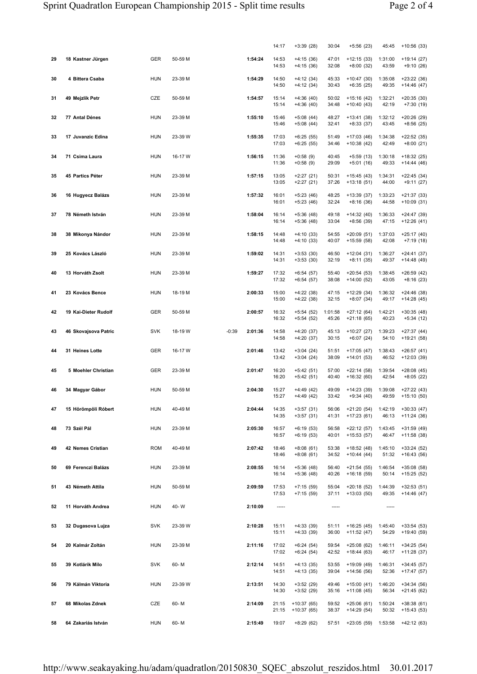|    |                      |            |         |         |         | 14:17          | $+3:39(28)$                  | 30:04            | $+5:56(23)$                  | 45:45            | $+10:56(33)$                 |
|----|----------------------|------------|---------|---------|---------|----------------|------------------------------|------------------|------------------------------|------------------|------------------------------|
| 29 | 18 Kastner Jürgen    | <b>GER</b> | 50-59 M |         | 1:54:24 | 14:53<br>14:53 | $+4:15(36)$<br>$+4:15(36)$   | 47:01<br>32:08   | $+12:15(33)$<br>$+8:00(32)$  | 1:31:00<br>43:59 | +19:14 (27)<br>$+9:10(26)$   |
| 30 | 4 Bittera Csaba      | <b>HUN</b> | 23-39 M |         | 1:54:29 | 14:50<br>14:50 | $+4:12(34)$<br>$+4:12(34)$   | 45:33<br>30:43   | $+10:47(30)$<br>$+6:35(25)$  | 1:35:08<br>49:35 | +23:22 (36)<br>+14:46 (47)   |
| 31 | 49 Mejzlík Petr      | CZE        | 50-59 M |         | 1:54:57 | 15:14<br>15:14 | $+4:36(40)$<br>$+4:36(40)$   | 50:02<br>34:48   | $+15:16(42)$<br>$+10:40(43)$ | 1:32:21<br>42:19 | +20:35 (30)<br>$+7:30(19)$   |
| 32 | 77 Antal Dénes       | <b>HUN</b> | 23-39 M |         | 1:55:10 | 15:46<br>15:46 | $+5:08(44)$<br>$+5:08(44)$   | 48:27<br>32:41   | +13:41 (38)<br>$+8:33(37)$   | 1:32:12<br>43:45 | +20:26 (29)<br>$+8:56(25)$   |
| 33 | 17 Juvanzic Edina    | <b>HUN</b> | 23-39 W |         | 1:55:35 | 17:03<br>17:03 | $+6:25(55)$<br>$+6:25(55)$   | 51:49<br>34:46   | $+17:03(46)$<br>$+10:38(42)$ | 1:34:38<br>42:49 | +22:52 (35)<br>$+8:00(21)$   |
| 34 | 71 Csima Laura       | <b>HUN</b> | 16-17 W |         | 1:56:15 | 11:36<br>11:36 | $+0:58(9)$<br>$+0:58(9)$     | 40:45<br>29:09   | $+5:59(13)$<br>$+5:01(16)$   | 1:30:18<br>49:33 | +18:32 (25)<br>+14:44 (46)   |
| 35 | 45 Partics Péter     | <b>HUN</b> | 23-39 M |         | 1:57:15 | 13:05<br>13:05 | $+2:27(21)$<br>$+2:27(21)$   | 50:31<br>37:26   | $+15:45(43)$<br>$+13:18(51)$ | 1:34:31<br>44:00 | +22:45 (34)<br>+9:11 (27)    |
| 36 | 16 Hugyecz Balázs    | <b>HUN</b> | 23-39 M |         | 1:57:32 | 16:01<br>16:01 | $+5:23(46)$<br>$+5:23(46)$   | 48:25<br>32:24   | $+13:39(37)$<br>$+8:16(36)$  | 1:33:23<br>44:58 | $+21:37(33)$<br>+10:09 (31)  |
| 37 | 78 Németh István     | <b>HUN</b> | 23-39 M |         | 1:58:04 | 16:14<br>16:14 | $+5:36(48)$<br>$+5:36(48)$   | 49:18<br>33:04   | $+14:32(40)$<br>$+8:56(39)$  | 1:36:33<br>47:15 | +24:47 (39)<br>+12:26 (41)   |
| 38 | 38 Mikonya Nándor    | <b>HUN</b> | 23-39 M |         | 1:58:15 | 14:48<br>14:48 | $+4:10(33)$<br>$+4:10(33)$   | 54:55<br>40:07   | $+20:09(51)$<br>+15:59 (58)  | 1:37:03<br>42:08 | +25:17 (40)<br>$+7:19(18)$   |
| 39 | 25 Kovács László     | <b>HUN</b> | 23-39 M |         | 1:59:02 | 14:31<br>14:31 | $+3:53(30)$<br>$+3:53(30)$   | 46:50<br>32:19   | $+12:04(31)$<br>$+8:11(35)$  | 1:36:27<br>49:37 | +24:41 (37)<br>$+14:48(49)$  |
| 40 | 13 Horváth Zsolt     | <b>HUN</b> | 23-39 M |         | 1:59:27 | 17:32<br>17:32 | $+6:54(57)$<br>+6:54 (57)    | 55:40<br>38:08   | $+20:54(53)$<br>$+14:00(52)$ | 1:38:45<br>43:05 | +26:59 (42)<br>$+8:16(23)$   |
| 41 | 23 Kovács Bence      | <b>HUN</b> | 18-19 M |         | 2:00:33 | 15:00<br>15:00 | $+4:22(38)$<br>$+4:22(38)$   | 47:15<br>32:15   | $+12:29(34)$<br>$+8:07(34)$  | 1:36:32<br>49:17 | $+24:46(38)$<br>+14:28 (45)  |
| 42 | 19 Kai-Dieter Rudolf | <b>GER</b> | 50-59 M |         | 2:00:57 | 16:32<br>16:32 | $+5:54(52)$<br>$+5:54(52)$   | 1:01:58<br>45:26 | $+27:12(64)$<br>$+21:18(65)$ | 1:42:21<br>40:23 | $+30:35(48)$<br>$+5:34(12)$  |
| 43 | 46 Skovajsova Patric | <b>SVK</b> | 18-19 W | $-0:39$ | 2:01:36 | 14:58<br>14:58 | $+4:20(37)$<br>$+4:20(37)$   | 45:13<br>30:15   | $+10:27(27)$<br>$+6:07(24)$  | 1:39:23<br>54:10 | $+27:37(44)$<br>+19:21 (58)  |
| 44 | 31 Heines Lotte      | <b>GER</b> | 16-17 W |         | 2:01:46 | 13:42<br>13:42 | $+3:04(24)$<br>$+3:04(24)$   | 51:51<br>38:09   | $+17:05(47)$<br>$+14:01(53)$ | 1:38:43<br>46:52 | $+26:57(41)$<br>+12:03 (39)  |
| 45 | 5 Moehler Christian  | GER        | 23-39 M |         | 2:01:47 | 16:20<br>16:20 | $+5:42(51)$<br>$+5:42(51)$   | 57:00<br>40:40   | $+22:14(58)$<br>$+16:32(60)$ | 1:39:54<br>42:54 | +28:08 (45)<br>$+8:05(22)$   |
| 46 | 34 Magyar Gábor      | <b>HUN</b> | 50-59 M |         | 2:04:30 | 15:27<br>15:27 | $+4:49(42)$<br>+4:49 (42)    | 49:09<br>33:42   | $+14:23(39)$<br>+9:34 (40)   | 1:39:08<br>49:59 | +27:22 (43)<br>+15:10 (50)   |
| 47 | 15 Hörömpöli Róbert  | <b>HUN</b> | 40-49 M |         | 2:04:44 | 14:35<br>14:35 | $+3:57(31)$<br>$+3:57(31)$   | 56:06<br>41:31   | $+21:20(54)$<br>$+17:23(61)$ | 1:42:19<br>46:13 | $+30:33(47)$<br>+11:24 (36)  |
| 48 | 73 Szél Pál          | <b>HUN</b> | 23-39 M |         | 2:05:30 | 16:57<br>16:57 | +6:19 (53)<br>$+6:19(53)$    | 56:58<br>40:01   | $+22:12(57)$<br>$+15:53(57)$ | 1:43:45<br>46:47 | +31:59 (49)<br>+11:58 (38)   |
| 49 | 42 Nemes Cristian    | <b>ROM</b> | 40-49 M |         | 2:07:42 | 18:46<br>18:46 | +8:08 (61)<br>$+8:08(61)$    | 53:38<br>34:52   | $+18:52(48)$<br>$+10:44(44)$ | 1:45:10<br>51:32 | +33:24 (52)<br>$+16:43(56)$  |
| 50 | 69 Ferenczi Balázs   | <b>HUN</b> | 23-39 M |         | 2:08:55 | 16:14<br>16:14 | $+5:36(48)$<br>$+5:36(48)$   | 56:40<br>40:26   | $+21:54(55)$<br>$+16:18(59)$ | 1:46:54<br>50:14 | $+35:08(58)$<br>+15:25 (52)  |
| 51 | 43 Németh Attila     | <b>HUN</b> | 50-59 M |         | 2:09:59 | 17:53<br>17:53 | $+7:15(59)$<br>$+7:15(59)$   | 55:04<br>37:11   | $+20:18(52)$<br>$+13:03(50)$ | 1:44:39<br>49:35 | $+32:53(51)$<br>$+14:46(47)$ |
| 52 | 11 Horváth Andrea    | <b>HUN</b> | 40-W    |         | 2:10:09 | -----          |                              | -----            |                              | -----            |                              |
| 53 | 32 Dugasova Lujza    | <b>SVK</b> | 23-39 W |         | 2:10:28 | 15:11<br>15:11 | $+4:33(39)$<br>$+4:33(39)$   | 51:11<br>36:00   | $+16:25(45)$<br>$+11:52(47)$ | 1:45:40<br>54:29 | $+33:54(53)$<br>+19:40 (59)  |
| 54 | 20 Kalmár Zoltán     | <b>HUN</b> | 23-39 M |         | 2:11:16 | 17:02<br>17:02 | $+6:24(54)$<br>$+6:24(54)$   | 59:54<br>42:52   | $+25:08(62)$<br>$+18:44(63)$ | 1:46:11<br>46:17 | $+34:25(54)$<br>+11:28 (37)  |
| 55 | 39 Kotlárik Milo     | <b>SVK</b> | 60-M    |         | 2:12:14 | 14:51<br>14:51 | $+4:13(35)$<br>$+4:13(35)$   | 53:55<br>39:04   | $+19:09(49)$<br>$+14:56(56)$ | 1:46:31<br>52:36 | +34:45 (57)<br>+17:47 (57)   |
| 56 | 79 Kálmán Viktoria   | <b>HUN</b> | 23-39 W |         | 2:13:51 | 14:30<br>14:30 | $+3:52(29)$<br>$+3:52(29)$   | 49:46<br>35:16   | $+15:00(41)$<br>$+11:08(45)$ | 1:46:20<br>56:34 | $+34:34(56)$<br>+21:45 (62)  |
| 57 | 68 Mikolas Zdnek     | CZE        | 60-M    |         | 2:14:09 | 21:15<br>21:15 | $+10:37(65)$<br>$+10:37(65)$ | 59:52<br>38:37   | $+25:06(61)$<br>+14:29 (54)  | 1:50:24<br>50:32 | $+38:38(61)$<br>+15:43 (53)  |
| 58 | 64 Zakariás István   | <b>HUN</b> | 60-M    |         | 2:15:49 | 19:07          | $+8:29(62)$                  | 57:51            | $+23:05(59)$                 | 1:53:58          | +42:12 (63)                  |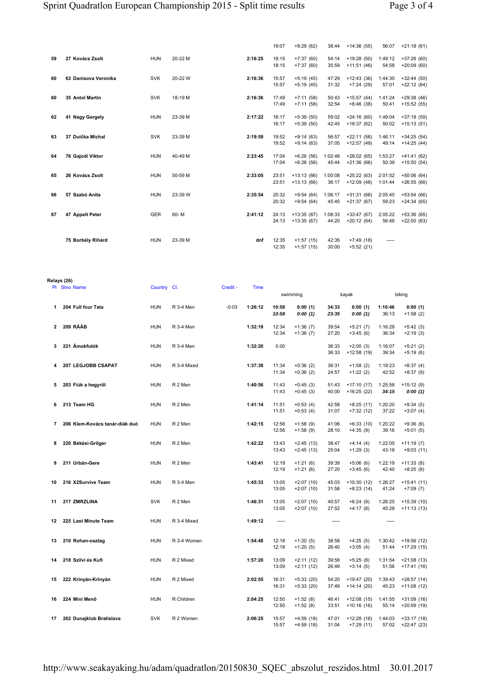**Relays (26)**

|    |                      |            |         |         | 19:07 | $+8:29(62)$  | 38:44   | $+14:36(55)$ | 56:07   | $+21:18(61)$ |
|----|----------------------|------------|---------|---------|-------|--------------|---------|--------------|---------|--------------|
| 59 | 27 Kovács Zsolt      | <b>HUN</b> | 20-22 M | 2:16:25 | 18:15 | $+7:37(60)$  | 54:14   | $+19:28(50)$ | 1:49:12 | $+37:26(60)$ |
|    |                      |            |         |         | 18:15 | $+7:37(60)$  | 35:59   | $+11:51(46)$ | 54:58   | $+20:09(60)$ |
| 60 | 63 Danisova Veronika | <b>SVK</b> | 20-22 W | 2:16:36 | 15:57 | $+5:19(45)$  | 47:29   | $+12:43(36)$ | 1:44:30 | $+32:44(50)$ |
|    |                      |            |         |         | 15:57 | $+5:19(45)$  | 31:32   | $+7:24(29)$  | 57:01   | $+22:12(64)$ |
| 60 | 35 Antol Martin      | <b>SVK</b> | 18-19 M | 2:16:36 | 17:49 | $+7:11(58)$  | 50:43   | $+15:57(44)$ | 1:41:24 | $+29:38(46)$ |
|    |                      |            |         |         | 17:49 | $+7:11(58)$  | 32:54   | $+8:46(38)$  | 50:41   | $+15:52(55)$ |
| 62 | 41 Nagy Gergely      | <b>HUN</b> | 23-39 M | 2:17:22 | 16:17 | $+5:39(50)$  | 59:02   | $+24:16(60)$ | 1:49:04 | $+37:18(59)$ |
|    |                      |            |         |         | 16:17 | $+5:39(50)$  | 42:45   | $+18:37(62)$ | 50:02   | $+15:13(51)$ |
| 63 | 37 Duička Michal     | <b>SVK</b> | 23-39 M | 2:19:59 | 19:52 | $+9:14(63)$  | 56:57   | $+22:11(56)$ | 1:46:11 | $+34:25(54)$ |
|    |                      |            |         |         | 19:52 | $+9:14(63)$  | 37:05   | $+12:57(49)$ | 49:14   | $+14:25(44)$ |
| 64 | 76 Gaiodi Viktor     | <b>HUN</b> | 40-49 M | 2:23:45 | 17:04 | $+6:26(56)$  | 1:02:48 | $+28:02(65)$ | 1:53:27 | $+41:41(62)$ |
|    |                      |            |         |         | 17:04 | $+6:26(56)$  | 45:44   | $+21:36(66)$ | 50:39   | $+15:50(54)$ |
| 65 | 26 Kovács Zsolt      | <b>HUN</b> | 50-59 M | 2:33:05 | 23:51 | $+13:13(66)$ | 1:00:08 | $+25:22(63)$ | 2:01:52 | $+50:06(64)$ |
|    |                      |            |         |         | 23:51 | $+13:13(66)$ | 36:17   | $+12:09(48)$ | 1:01:44 | $+26:55(66)$ |
| 66 | 57 Szabó Anita       | <b>HUN</b> | 23-39 W | 2:35:54 | 20:32 | $+9:54(64)$  | 1:06:17 | $+31:31(66)$ | 2:05:40 | $+53:54(66)$ |
|    |                      |            |         |         | 20:32 | $+9:54(64)$  | 45:45   | $+21:37(67)$ | 59:23   | $+24:34(65)$ |
| 67 | 47 Appelt Peter      | <b>GER</b> | 60-M    | 2:41:12 | 24:13 | $+13:35(67)$ | 1:08:33 | $+33:47(67)$ | 2:05:22 | $+53:36(65)$ |
|    |                      |            |         |         | 24:13 | $+13:35(67)$ | 44:20   | $+20:12(64)$ | 56:49   | $+22:00(63)$ |
|    |                      |            |         |         |       |              |         |              |         |              |
|    | 75 Borbély Rihárd    | <b>HUN</b> | 23-39 M | dnf     | 12:35 | $+1:57(15)$  | 42:35   | $+7:49(18)$  | -----   |              |
|    |                      |            |         |         | 12:35 | $+1:57(15)$  | 30:00   | $+5:52(21)$  |         |              |

|                | PI Stno Name                   | Country Cl. |             | Credit - | <b>Time</b> |                |                            |                |                              |                  |                              |
|----------------|--------------------------------|-------------|-------------|----------|-------------|----------------|----------------------------|----------------|------------------------------|------------------|------------------------------|
|                |                                |             |             |          |             |                | swimming                   |                | kayak                        |                  | biking                       |
| $\mathbf{1}$   | 204 Full four Tata             | <b>HUN</b>  | R 3-4 Men   | $-0:03$  | 1:26:12     | 10:58<br>10:58 | 0:00(1)<br>0:00(1)         | 34:33<br>23:35 | 0:00(1)<br>0:00(1)           | 1:10:46<br>36:13 | 0:00(1)<br>$+1:58(2)$        |
| $\overline{2}$ | 209 RÁÁB                       | <b>HUN</b>  | R 3-4 Men   |          | 1:32:18     | 12:34<br>12:34 | $+1:36(7)$<br>$+1:36(7)$   | 39:54<br>27:20 | $+5:21(7)$<br>$+3:45(6)$     | 1:16:28<br>36:34 | $+5:42(3)$<br>$+2:19(3)$     |
| 3              | 221 Ámokfutók                  | <b>HUN</b>  | R 3-4 Men   |          | 1:32:20     | 0.00           |                            | 36:33<br>36:33 | $+2:00(3)$<br>$+12:58(19)$   | 1:16:07<br>39:34 | $+5:21(2)$<br>$+5:19(6)$     |
| 4              | 207 LEGJOBB CSAPAT             | <b>HUN</b>  | R 3-4 Mixed |          | 1:37:38     | 11:34<br>11:34 | $+0:36(2)$<br>$+0:36(2)$   | 36:31<br>24:57 | $+1:58(2)$<br>$+1:22(2)$     | 1:19:23<br>42:52 | $+8:37(4)$<br>$+8:37(9)$     |
| 5              | 203 Fiúk a hegyről             | <b>HUN</b>  | R 2 Men     |          | 1:40:56     | 11:43<br>11:43 | $+0:45(3)$<br>$+0:45(3)$   | 51:43<br>40:00 | $+17:10(17)$<br>$+16:25(22)$ | 1:25:58<br>34:15 | $+15:12(9)$<br>0:00(1)       |
| 6              | 213 Team HG                    | <b>HUN</b>  | R 2 Men     |          | 1:41:14     | 11:51<br>11:51 | $+0:53(4)$<br>$+0:53(4)$   | 42:58<br>31:07 | $+8:25(11)$<br>$+7:32(12)$   | 1:20:20<br>37:22 | $+9:34(5)$<br>$+3:07(4)$     |
| $\overline{7}$ | 206 Klem-Kovács tanár-diák duó | <b>HUN</b>  | R 2 Men     |          | 1:42:15     | 12:56<br>12:56 | $+1:58(9)$<br>$+1:58(9)$   | 41:06<br>28:10 | $+6:33(10)$<br>$+4:35(9)$    | 1:20:22<br>39:16 | $+9:36(6)$<br>$+5:01(5)$     |
| 8              | 220 Békési-Grőger              | <b>HUN</b>  | R 2 Men     |          | 1:42:22     | 13:43<br>13:43 | $+2:45(13)$<br>$+2:45(13)$ | 38:47<br>25:04 | $+4:14(4)$<br>$+1:29(3)$     | 1:22:05<br>43:18 | $+11:19(7)$<br>$+9:03(11)$   |
| 9              | 211 Urbán-Gere                 | <b>HUN</b>  | R 2 Men     |          | 1:43:41     | 12:19<br>12:19 | $+1:21(6)$<br>$+1:21(6)$   | 39:39<br>27:20 | $+5:06(6)$<br>$+3:45(6)$     | 1:22:19<br>42:40 | $+11:33(8)$<br>$+8:25(8)$    |
| 10             | 216 X2Survive Team             | <b>HUN</b>  | R 3-4 Men   |          | 1:45:33     | 13:05<br>13:05 | $+2:07(10)$<br>$+2:07(10)$ | 45:03<br>31:58 | $+10:30(12)$<br>$+8:23(14)$  | 1:26:27<br>41:24 | $+15:41(11)$<br>$+7:09(7)$   |
| 11             | 217 ZMRZLINA                   | <b>SVK</b>  | R 2 Men     |          | 1:46:31     | 13:05<br>13:05 | $+2:07(10)$<br>$+2:07(10)$ | 40:57<br>27:52 | $+6:24(9)$<br>$+4:17(8)$     | 1:26:25<br>45:28 | $+15:39(10)$<br>$+11:13(13)$ |
| 12             | 225 Last Minute Team           | <b>HUN</b>  | R 3-4 Mixed |          | 1:49:12     | 1.111          |                            | -----          |                              | -----            |                              |
| 13             | 210 Rohan-osztag               | <b>HUN</b>  | R 3-4 Women |          | 1:54:48     | 12:18<br>12:18 | $+1:20(5)$<br>$+1:20(5)$   | 38:58<br>26:40 | $+4:25(5)$<br>$+3:05(4)$     | 1:30:42<br>51:44 | $+19:56(12)$<br>$+17:29(15)$ |
| 14             | 218 Szilvi és Kufi             | <b>HUN</b>  | R 2 Mixed   |          | 1:57:20     | 13:09<br>13:09 | $+2:11(12)$<br>$+2:11(12)$ | 39:58<br>26:49 | $+5:25(8)$<br>$+3:14(5)$     | 1:31:54<br>51:56 | $+21:08(13)$<br>$+17:41(16)$ |
| 15             | 222 Krinyán-Krinyán            | <b>HUN</b>  | R 2 Mixed   |          | 2:02:55     | 16:31<br>16:31 | $+5:33(20)$<br>$+5:33(20)$ | 54:20<br>37:49 | +19:47 (20)<br>$+14:14(20)$  | 1:39:43<br>45:23 | $+28:57(14)$<br>$+11:08(12)$ |
| 16             | 224 Mini Menő                  | <b>HUN</b>  | R Children  |          | 2:04:25     | 12:50<br>12:50 | $+1:52(8)$<br>$+1:52(8)$   | 46:41<br>33:51 | $+12:08(15)$<br>$+10:16(16)$ | 1:41:55<br>55:14 | $+31:09(16)$<br>$+20:59(19)$ |
| 17             | 202 Dunajklub Bratislava       | <b>SVK</b>  | R 2 Women   |          | 2:06:25     | 15:57<br>15:57 | $+4:59(18)$<br>$+4:59(18)$ | 47:01<br>31:04 | $+12:28(16)$<br>$+7:29(11)$  | 1:44:03<br>57:02 | $+33:17(18)$<br>$+22:47(23)$ |